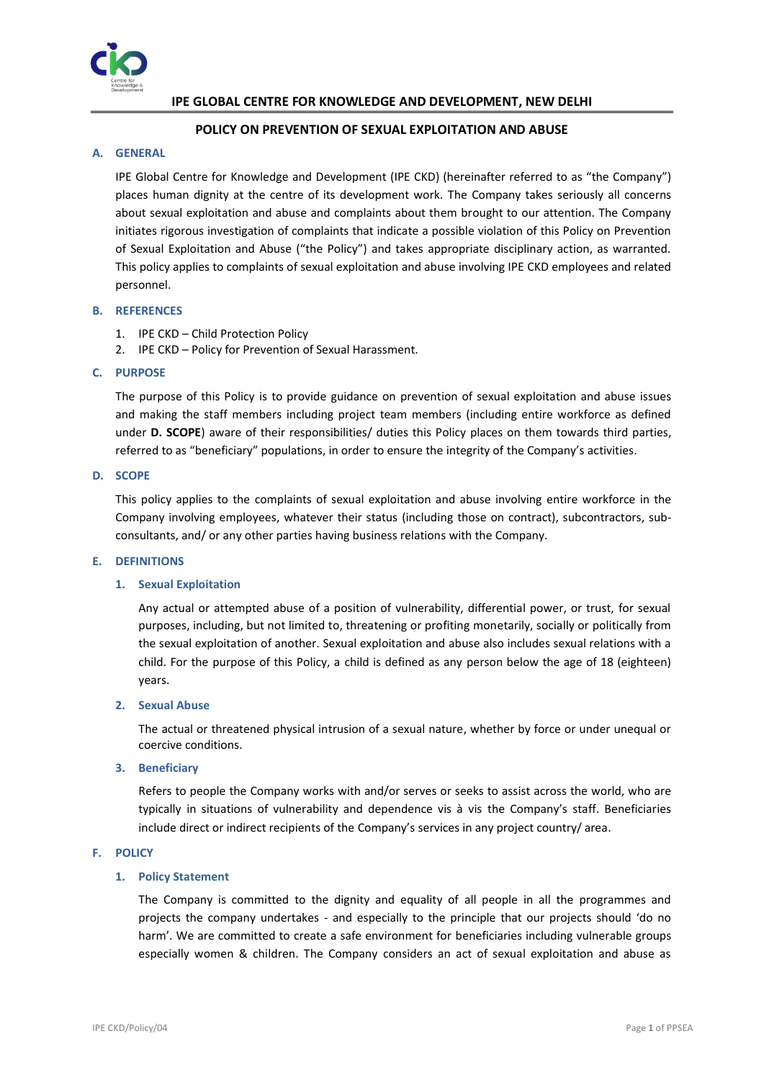

# **IPE GLOBAL CENTRE FOR KNOWLEDGE AND DEVELOPMENT, NEW DELHI**

# **POLICY ON PREVENTION OF SEXUAL EXPLOITATION AND ABUSE**

# **A. GENERAL**

IPE Global Centre for Knowledge and Development (IPE CKD) (hereinafter referred to as "the Company") places human dignity at the centre of its development work. The Company takes seriously all concerns about sexual exploitation and abuse and complaints about them brought to our attention. The Company initiates rigorous investigation of complaints that indicate a possible violation of this Policy on Prevention of Sexual Exploitation and Abuse ("the Policy") and takes appropriate disciplinary action, as warranted. This policy applies to complaints of sexual exploitation and abuse involving IPE CKD employees and related personnel.

#### **B. REFERENCES**

- 1. IPE CKD Child Protection Policy
- 2. IPE CKD Policy for Prevention of Sexual Harassment.

#### **C. PURPOSE**

The purpose of this Policy is to provide guidance on prevention of sexual exploitation and abuse issues and making the staff members including project team members (including entire workforce as defined under **D. SCOPE**) aware of their responsibilities/ duties this Policy places on them towards third parties, referred to as "beneficiary" populations, in order to ensure the integrity of the Company's activities.

#### **D. SCOPE**

This policy applies to the complaints of sexual exploitation and abuse involving entire workforce in the Company involving employees, whatever their status (including those on contract), subcontractors, subconsultants, and/ or any other parties having business relations with the Company.

#### **E. DEFINITIONS**

# **1. Sexual Exploitation**

Any actual or attempted abuse of a position of vulnerability, differential power, or trust, for sexual purposes, including, but not limited to, threatening or profiting monetarily, socially or politically from the sexual exploitation of another. Sexual exploitation and abuse also includes sexual relations with a child. For the purpose of this Policy, a child is defined as any person below the age of 18 (eighteen) years.

#### **2. Sexual Abuse**

The actual or threatened physical intrusion of a sexual nature, whether by force or under unequal or coercive conditions.

#### **3. Beneficiary**

Refers to people the Company works with and/or serves or seeks to assist across the world, who are typically in situations of vulnerability and dependence vis à vis the Company's staff. Beneficiaries include direct or indirect recipients of the Company's services in any project country/ area.

#### **F. POLICY**

#### **1. Policy Statement**

The Company is committed to the dignity and equality of all people in all the programmes and projects the company undertakes - and especially to the principle that our projects should 'do no harm'. We are committed to create a safe environment for beneficiaries including vulnerable groups especially women & children. The Company considers an act of sexual exploitation and abuse as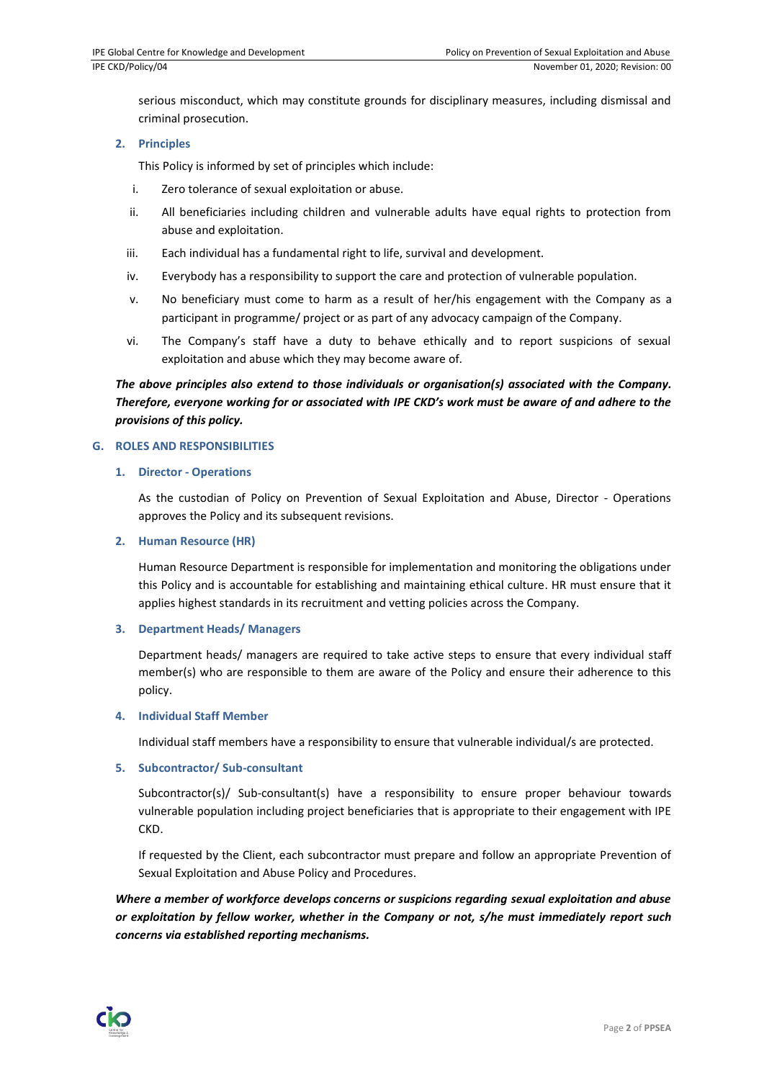serious misconduct, which may constitute grounds for disciplinary measures, including dismissal and criminal prosecution.

# **2. Principles**

This Policy is informed by set of principles which include:

- i. Zero tolerance of sexual exploitation or abuse.
- ii. All beneficiaries including children and vulnerable adults have equal rights to protection from abuse and exploitation.
- iii. Each individual has a fundamental right to life, survival and development.
- iv. Everybody has a responsibility to support the care and protection of vulnerable population.
- v. No beneficiary must come to harm as a result of her/his engagement with the Company as a participant in programme/ project or as part of any advocacy campaign of the Company.
- vi. The Company's staff have a duty to behave ethically and to report suspicions of sexual exploitation and abuse which they may become aware of.

# *The above principles also extend to those individuals or organisation(s) associated with the Company. Therefore, everyone working for or associated with IPE CKD's work must be aware of and adhere to the provisions of this policy.*

# **G. ROLES AND RESPONSIBILITIES**

# **1. Director - Operations**

As the custodian of Policy on Prevention of Sexual Exploitation and Abuse, Director - Operations approves the Policy and its subsequent revisions.

#### **2. Human Resource (HR)**

Human Resource Department is responsible for implementation and monitoring the obligations under this Policy and is accountable for establishing and maintaining ethical culture. HR must ensure that it applies highest standards in its recruitment and vetting policies across the Company.

#### **3. Department Heads/ Managers**

Department heads/ managers are required to take active steps to ensure that every individual staff member(s) who are responsible to them are aware of the Policy and ensure their adherence to this policy.

# **4. Individual Staff Member**

Individual staff members have a responsibility to ensure that vulnerable individual/s are protected.

#### **5. Subcontractor/ Sub-consultant**

Subcontractor(s)/ Sub-consultant(s) have a responsibility to ensure proper behaviour towards vulnerable population including project beneficiaries that is appropriate to their engagement with IPE CKD.

If requested by the Client, each subcontractor must prepare and follow an appropriate Prevention of Sexual Exploitation and Abuse Policy and Procedures.

*Where a member of workforce develops concerns or suspicions regarding sexual exploitation and abuse or exploitation by fellow worker, whether in the Company or not, s/he must immediately report such concerns via established reporting mechanisms.*

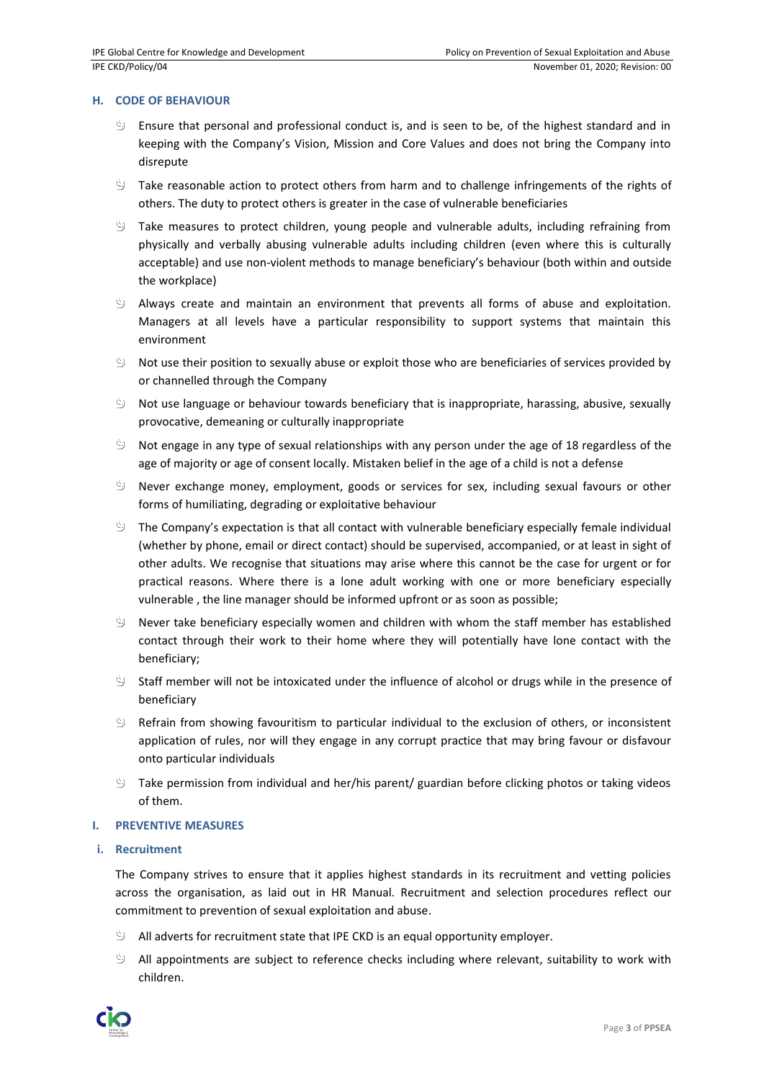# **H. CODE OF BEHAVIOUR**

- Ensure that personal and professional conduct is, and is seen to be, of the highest standard and in keeping with the Company's Vision, Mission and Core Values and does not bring the Company into disrepute
- $\Diamond$  Take reasonable action to protect others from harm and to challenge infringements of the rights of others. The duty to protect others is greater in the case of vulnerable beneficiaries
- $\Diamond$  Take measures to protect children, young people and vulnerable adults, including refraining from physically and verbally abusing vulnerable adults including children (even where this is culturally acceptable) and use non-violent methods to manage beneficiary's behaviour (both within and outside the workplace)
- $\Diamond$  Always create and maintain an environment that prevents all forms of abuse and exploitation. Managers at all levels have a particular responsibility to support systems that maintain this environment
- $\mathfrak{S}$  Not use their position to sexually abuse or exploit those who are beneficiaries of services provided by or channelled through the Company
- $\mathcal{Y}$  Not use language or behaviour towards beneficiary that is inappropriate, harassing, abusive, sexually provocative, demeaning or culturally inappropriate
- $\dot{\mathbb{S}}$  Not engage in any type of sexual relationships with any person under the age of 18 regardless of the age of majority or age of consent locally. Mistaken belief in the age of a child is not a defense
- $\mathcal{Y}$  Never exchange money, employment, goods or services for sex, including sexual favours or other forms of humiliating, degrading or exploitative behaviour
- $\mathcal{Y}$  The Company's expectation is that all contact with vulnerable beneficiary especially female individual (whether by phone, email or direct contact) should be supervised, accompanied, or at least in sight of other adults. We recognise that situations may arise where this cannot be the case for urgent or for practical reasons. Where there is a lone adult working with one or more beneficiary especially vulnerable , the line manager should be informed upfront or as soon as possible;
- $\Diamond$  Never take beneficiary especially women and children with whom the staff member has established contact through their work to their home where they will potentially have lone contact with the beneficiary;
- Staff member will not be intoxicated under the influence of alcohol or drugs while in the presence of beneficiary
- ا ڭ Refrain from showing favouritism to particular individual to the exclusion of others, or inconsistent application of rules, nor will they engage in any corrupt practice that may bring favour or disfavour onto particular individuals
- $\mathfrak{S}$  Take permission from individual and her/his parent/ guardian before clicking photos or taking videos of them.

# **I. PREVENTIVE MEASURES**

# **i. Recruitment**

The Company strives to ensure that it applies highest standards in its recruitment and vetting policies across the organisation, as laid out in HR Manual. Recruitment and selection procedures reflect our commitment to prevention of sexual exploitation and abuse.

- All adverts for recruitment state that IPE CKD is an equal opportunity employer.
- $\mathfrak{S}$  All appointments are subject to reference checks including where relevant, suitability to work with children.

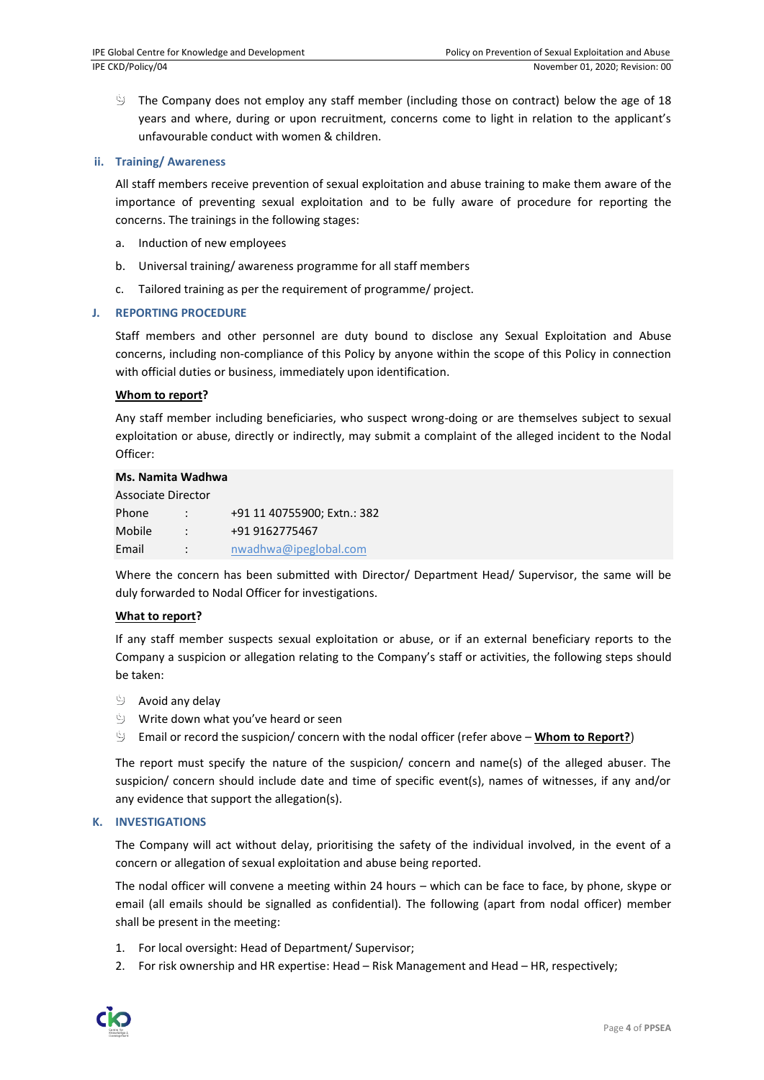$\Diamond$  The Company does not employ any staff member (including those on contract) below the age of 18 years and where, during or upon recruitment, concerns come to light in relation to the applicant's unfavourable conduct with women & children.

# **ii. Training/ Awareness**

All staff members receive prevention of sexual exploitation and abuse training to make them aware of the importance of preventing sexual exploitation and to be fully aware of procedure for reporting the concerns. The trainings in the following stages:

- a. Induction of new employees
- b. Universal training/ awareness programme for all staff members
- c. Tailored training as per the requirement of programme/ project.

#### **J. REPORTING PROCEDURE**

Staff members and other personnel are duty bound to disclose any Sexual Exploitation and Abuse concerns, including non-compliance of this Policy by anyone within the scope of this Policy in connection with official duties or business, immediately upon identification.

#### **Whom to report?**

Any staff member including beneficiaries, who suspect wrong-doing or are themselves subject to sexual exploitation or abuse, directly or indirectly, may submit a complaint of the alleged incident to the Nodal Officer:

# **Ms. Namita Wadhwa**

| Associate Director |                      |                             |
|--------------------|----------------------|-----------------------------|
| Phone              | $\ddot{\phantom{0}}$ | +91 11 40755900; Extn.: 382 |
| Mobile             | ÷                    | +91 9162775467              |
| Email              | $\ddot{\cdot}$       | nwadhwa@ipeglobal.com       |

Where the concern has been submitted with Director/ Department Head/ Supervisor, the same will be duly forwarded to Nodal Officer for investigations.

#### **What to report?**

If any staff member suspects sexual exploitation or abuse, or if an external beneficiary reports to the Company a suspicion or allegation relating to the Company's staff or activities, the following steps should be taken:

- $\Diamond$  Avoid any delay
- Write down what you've heard or seen
- Email or record the suspicion/ concern with the nodal officer (refer above **Whom to Report?**)

The report must specify the nature of the suspicion/ concern and name(s) of the alleged abuser. The suspicion/ concern should include date and time of specific event(s), names of witnesses, if any and/or any evidence that support the allegation(s).

#### **K. INVESTIGATIONS**

The Company will act without delay, prioritising the safety of the individual involved, in the event of a concern or allegation of sexual exploitation and abuse being reported.

The nodal officer will convene a meeting within 24 hours – which can be face to face, by phone, skype or email (all emails should be signalled as confidential). The following (apart from nodal officer) member shall be present in the meeting:

- 1. For local oversight: Head of Department/ Supervisor;
- 2. For risk ownership and HR expertise: Head Risk Management and Head HR, respectively;

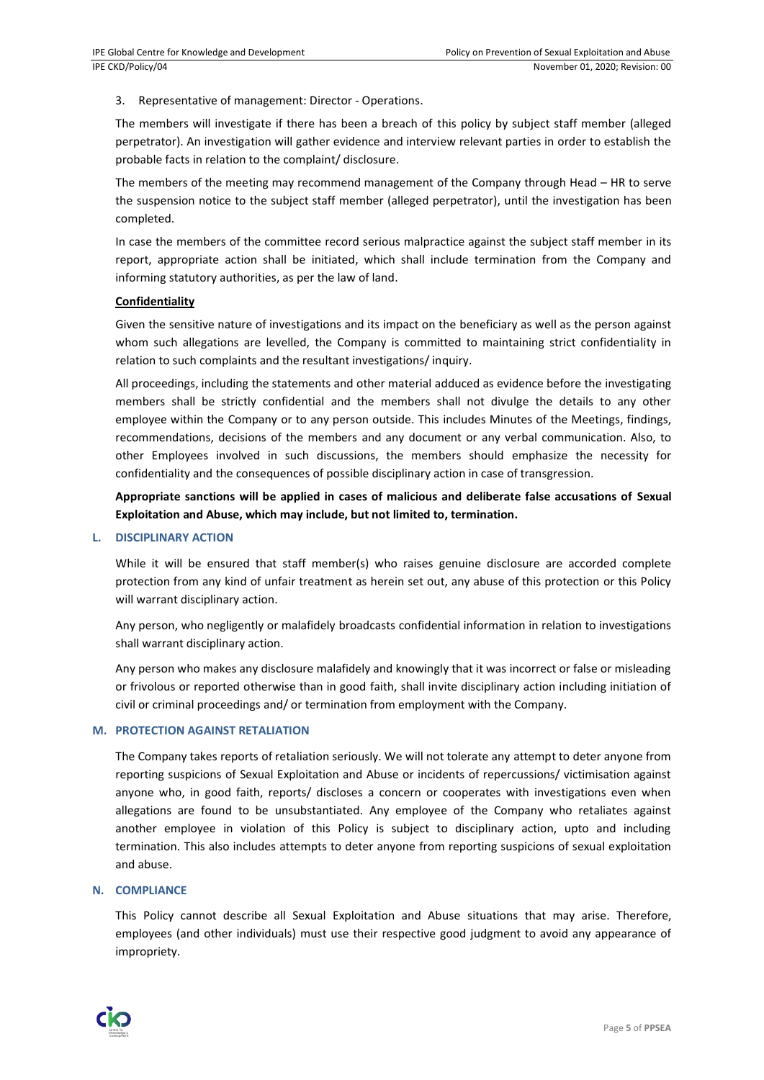3. Representative of management: Director - Operations.

The members will investigate if there has been a breach of this policy by subject staff member (alleged perpetrator). An investigation will gather evidence and interview relevant parties in order to establish the probable facts in relation to the complaint/ disclosure.

The members of the meeting may recommend management of the Company through Head – HR to serve the suspension notice to the subject staff member (alleged perpetrator), until the investigation has been completed.

In case the members of the committee record serious malpractice against the subject staff member in its report, appropriate action shall be initiated, which shall include termination from the Company and informing statutory authorities, as per the law of land.

# **Confidentiality**

Given the sensitive nature of investigations and its impact on the beneficiary as well as the person against whom such allegations are levelled, the Company is committed to maintaining strict confidentiality in relation to such complaints and the resultant investigations/ inquiry.

All proceedings, including the statements and other material adduced as evidence before the investigating members shall be strictly confidential and the members shall not divulge the details to any other employee within the Company or to any person outside. This includes Minutes of the Meetings, findings, recommendations, decisions of the members and any document or any verbal communication. Also, to other Employees involved in such discussions, the members should emphasize the necessity for confidentiality and the consequences of possible disciplinary action in case of transgression.

**Appropriate sanctions will be applied in cases of malicious and deliberate false accusations of Sexual Exploitation and Abuse, which may include, but not limited to, termination.**

# **L. DISCIPLINARY ACTION**

While it will be ensured that staff member(s) who raises genuine disclosure are accorded complete protection from any kind of unfair treatment as herein set out, any abuse of this protection or this Policy will warrant disciplinary action.

Any person, who negligently or malafidely broadcasts confidential information in relation to investigations shall warrant disciplinary action.

Any person who makes any disclosure malafidely and knowingly that it was incorrect or false or misleading or frivolous or reported otherwise than in good faith, shall invite disciplinary action including initiation of civil or criminal proceedings and/ or termination from employment with the Company.

# **M. PROTECTION AGAINST RETALIATION**

The Company takes reports of retaliation seriously. We will not tolerate any attempt to deter anyone from reporting suspicions of Sexual Exploitation and Abuse or incidents of repercussions/ victimisation against anyone who, in good faith, reports/ discloses a concern or cooperates with investigations even when allegations are found to be unsubstantiated. Any employee of the Company who retaliates against another employee in violation of this Policy is subject to disciplinary action, upto and including termination. This also includes attempts to deter anyone from reporting suspicions of sexual exploitation and abuse.

# **N. COMPLIANCE**

This Policy cannot describe all Sexual Exploitation and Abuse situations that may arise. Therefore, employees (and other individuals) must use their respective good judgment to avoid any appearance of impropriety.